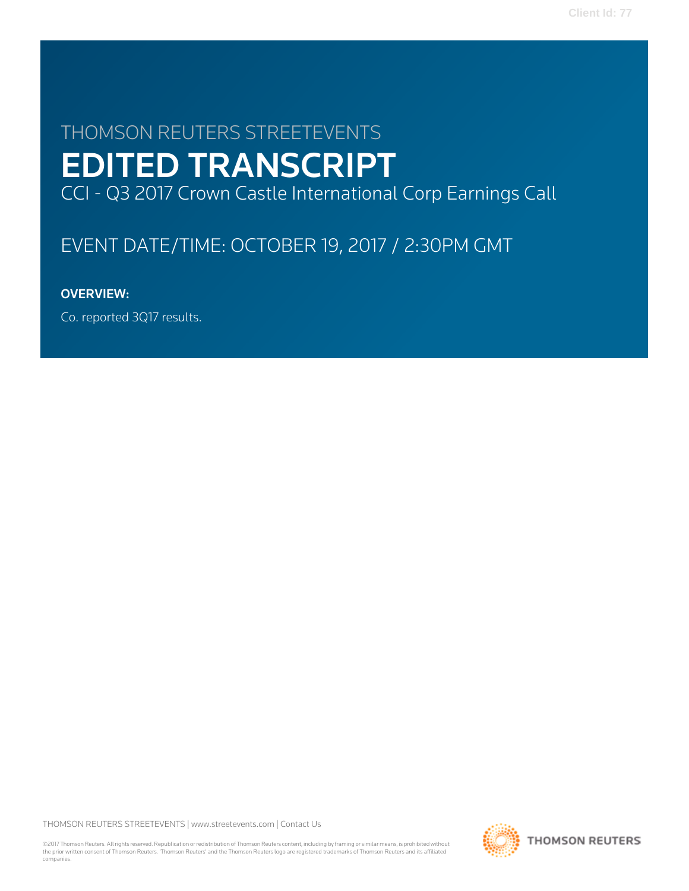# THOMSON REUTERS STREETEVENTS EDITED TRANSCRIPT CCI - Q3 2017 Crown Castle International Corp Earnings Call

# EVENT DATE/TIME: OCTOBER 19, 2017 / 2:30PM GMT

# OVERVIEW:

Co. reported 3Q17 results.

THOMSON REUTERS STREETEVENTS | [www.streetevents.com](http://www.streetevents.com) | [Contact Us](http://www010.streetevents.com/contact.asp)

©2017 Thomson Reuters. All rights reserved. Republication or redistribution of Thomson Reuters content, including by framing or similar means, is prohibited without the prior written consent of Thomson Reuters. 'Thomson Reuters' and the Thomson Reuters logo are registered trademarks of Thomson Reuters and its affiliated companies.

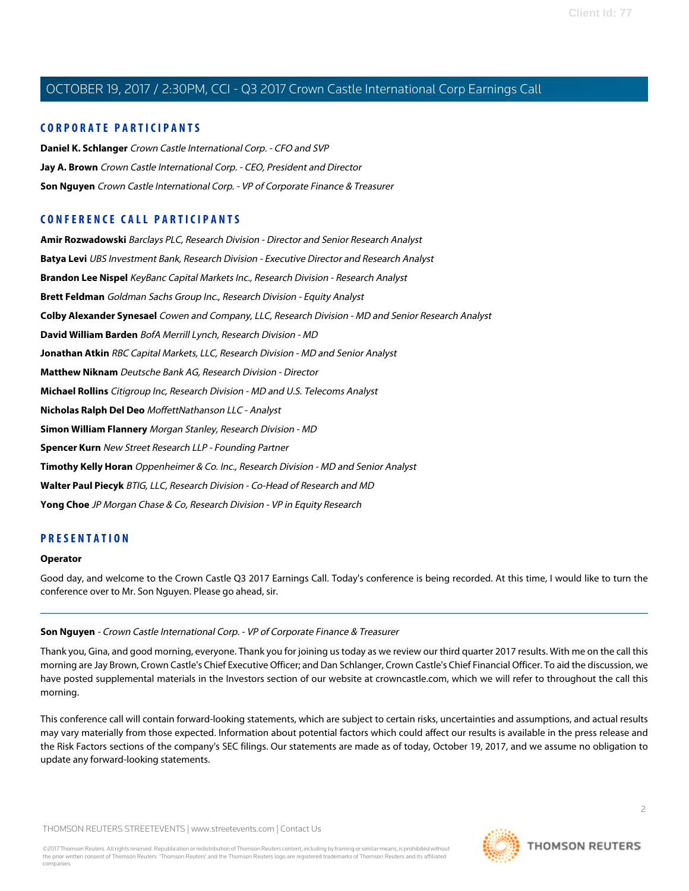#### **CORPORATE PARTICIPANTS**

**[Daniel K. Schlanger](#page-3-0)** Crown Castle International Corp. - CFO and SVP **[Jay A. Brown](#page-2-0)** Crown Castle International Corp. - CEO, President and Director **[Son Nguyen](#page-1-0)** Crown Castle International Corp. - VP of Corporate Finance & Treasurer

### **CONFERENCE CALL PARTICIPANTS**

**[Amir Rozwadowski](#page-9-0)** Barclays PLC, Research Division - Director and Senior Research Analyst **[Batya Levi](#page-17-0)** UBS Investment Bank, Research Division - Executive Director and Research Analyst **[Brandon Lee Nispel](#page-19-0)** KeyBanc Capital Markets Inc., Research Division - Research Analyst **[Brett Feldman](#page-5-0)** Goldman Sachs Group Inc., Research Division - Equity Analyst **[Colby Alexander Synesael](#page-12-0)** Cowen and Company, LLC, Research Division - MD and Senior Research Analyst **[David William Barden](#page-6-0)** BofA Merrill Lynch, Research Division - MD **[Jonathan Atkin](#page-8-0)** RBC Capital Markets, LLC, Research Division - MD and Senior Analyst **[Matthew Niknam](#page-8-1)** Deutsche Bank AG, Research Division - Director **[Michael Rollins](#page-14-0)** Citigroup Inc, Research Division - MD and U.S. Telecoms Analyst **[Nicholas Ralph Del Deo](#page-11-0)** MoffettNathanson LLC - Analyst **[Simon William Flannery](#page-7-0)** Morgan Stanley, Research Division - MD **[Spencer Kurn](#page-18-0)** New Street Research LLP - Founding Partner **[Timothy Kelly Horan](#page-13-0)** Oppenheimer & Co. Inc., Research Division - MD and Senior Analyst **[Walter Paul Piecyk](#page-16-0)** BTIG, LLC, Research Division - Co-Head of Research and MD **[Yong Choe](#page-10-0)** JP Morgan Chase & Co, Research Division - VP in Equity Research

### **PRESENTATION**

#### **Operator**

<span id="page-1-0"></span>Good day, and welcome to the Crown Castle Q3 2017 Earnings Call. Today's conference is being recorded. At this time, I would like to turn the conference over to Mr. Son Nguyen. Please go ahead, sir.

#### **Son Nguyen** - Crown Castle International Corp. - VP of Corporate Finance & Treasurer

Thank you, Gina, and good morning, everyone. Thank you for joining us today as we review our third quarter 2017 results. With me on the call this morning are Jay Brown, Crown Castle's Chief Executive Officer; and Dan Schlanger, Crown Castle's Chief Financial Officer. To aid the discussion, we have posted supplemental materials in the Investors section of our website at crowncastle.com, which we will refer to throughout the call this morning.

This conference call will contain forward-looking statements, which are subject to certain risks, uncertainties and assumptions, and actual results may vary materially from those expected. Information about potential factors which could affect our results is available in the press release and the Risk Factors sections of the company's SEC filings. Our statements are made as of today, October 19, 2017, and we assume no obligation to update any forward-looking statements.

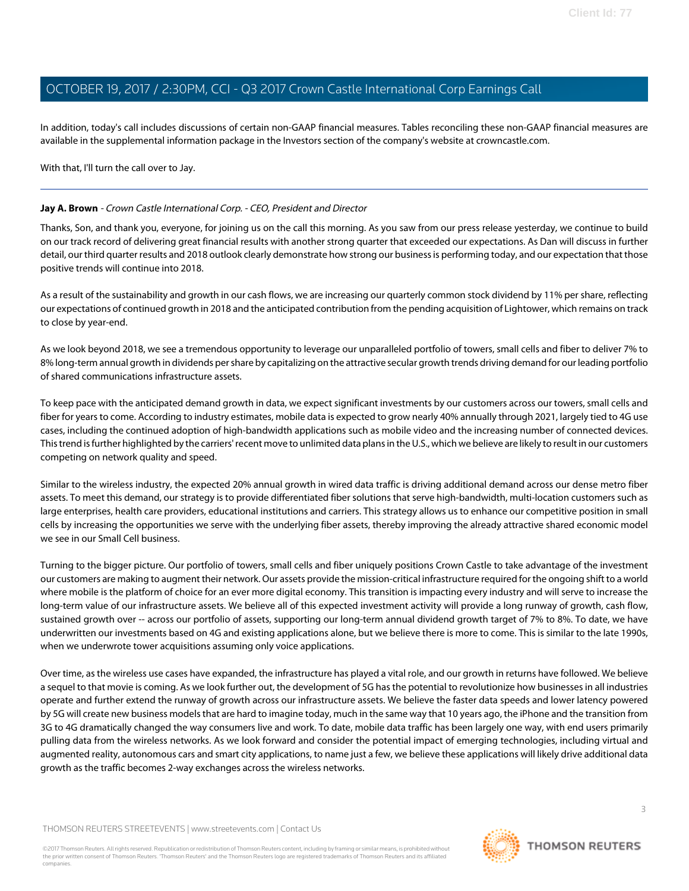In addition, today's call includes discussions of certain non-GAAP financial measures. Tables reconciling these non-GAAP financial measures are available in the supplemental information package in the Investors section of the company's website at crowncastle.com.

With that, I'll turn the call over to Jay.

#### <span id="page-2-0"></span>**Jay A. Brown** - Crown Castle International Corp. - CEO, President and Director

Thanks, Son, and thank you, everyone, for joining us on the call this morning. As you saw from our press release yesterday, we continue to build on our track record of delivering great financial results with another strong quarter that exceeded our expectations. As Dan will discuss in further detail, our third quarter results and 2018 outlook clearly demonstrate how strong our business is performing today, and our expectation that those positive trends will continue into 2018.

As a result of the sustainability and growth in our cash flows, we are increasing our quarterly common stock dividend by 11% per share, reflecting our expectations of continued growth in 2018 and the anticipated contribution from the pending acquisition of Lightower, which remains on track to close by year-end.

As we look beyond 2018, we see a tremendous opportunity to leverage our unparalleled portfolio of towers, small cells and fiber to deliver 7% to 8% long-term annual growth in dividends per share by capitalizing on the attractive secular growth trends driving demand for our leading portfolio of shared communications infrastructure assets.

To keep pace with the anticipated demand growth in data, we expect significant investments by our customers across our towers, small cells and fiber for years to come. According to industry estimates, mobile data is expected to grow nearly 40% annually through 2021, largely tied to 4G use cases, including the continued adoption of high-bandwidth applications such as mobile video and the increasing number of connected devices. This trend is further highlighted by the carriers' recent move to unlimited data plans in the U.S., which we believe are likely to result in our customers competing on network quality and speed.

Similar to the wireless industry, the expected 20% annual growth in wired data traffic is driving additional demand across our dense metro fiber assets. To meet this demand, our strategy is to provide differentiated fiber solutions that serve high-bandwidth, multi-location customers such as large enterprises, health care providers, educational institutions and carriers. This strategy allows us to enhance our competitive position in small cells by increasing the opportunities we serve with the underlying fiber assets, thereby improving the already attractive shared economic model we see in our Small Cell business.

Turning to the bigger picture. Our portfolio of towers, small cells and fiber uniquely positions Crown Castle to take advantage of the investment our customers are making to augment their network. Our assets provide the mission-critical infrastructure required for the ongoing shift to a world where mobile is the platform of choice for an ever more digital economy. This transition is impacting every industry and will serve to increase the long-term value of our infrastructure assets. We believe all of this expected investment activity will provide a long runway of growth, cash flow, sustained growth over -- across our portfolio of assets, supporting our long-term annual dividend growth target of 7% to 8%. To date, we have underwritten our investments based on 4G and existing applications alone, but we believe there is more to come. This is similar to the late 1990s, when we underwrote tower acquisitions assuming only voice applications.

Over time, as the wireless use cases have expanded, the infrastructure has played a vital role, and our growth in returns have followed. We believe a sequel to that movie is coming. As we look further out, the development of 5G has the potential to revolutionize how businesses in all industries operate and further extend the runway of growth across our infrastructure assets. We believe the faster data speeds and lower latency powered by 5G will create new business models that are hard to imagine today, much in the same way that 10 years ago, the iPhone and the transition from 3G to 4G dramatically changed the way consumers live and work. To date, mobile data traffic has been largely one way, with end users primarily pulling data from the wireless networks. As we look forward and consider the potential impact of emerging technologies, including virtual and augmented reality, autonomous cars and smart city applications, to name just a few, we believe these applications will likely drive additional data growth as the traffic becomes 2-way exchanges across the wireless networks.

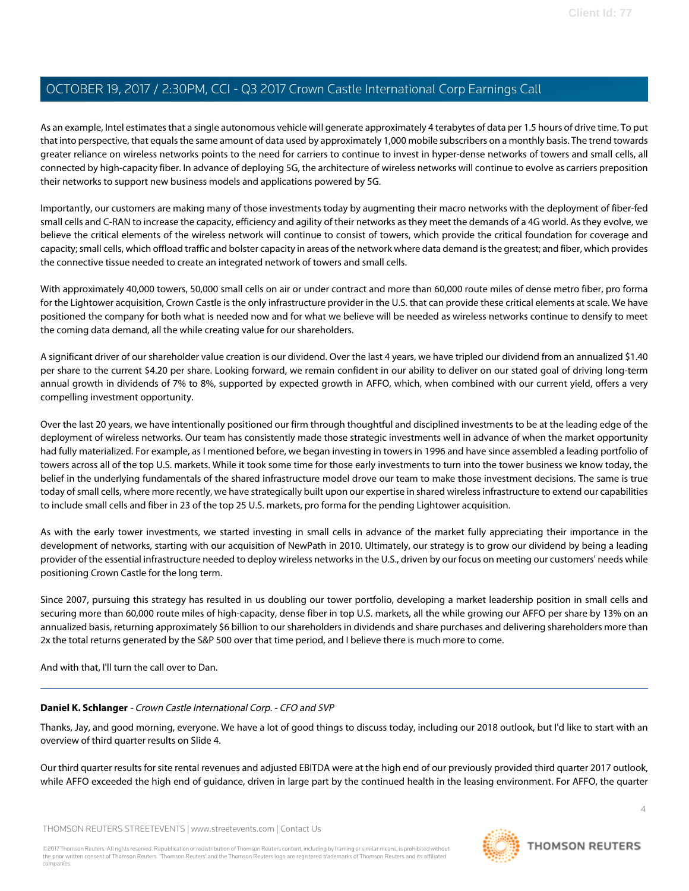As an example, Intel estimates that a single autonomous vehicle will generate approximately 4 terabytes of data per 1.5 hours of drive time. To put that into perspective, that equals the same amount of data used by approximately 1,000 mobile subscribers on a monthly basis. The trend towards greater reliance on wireless networks points to the need for carriers to continue to invest in hyper-dense networks of towers and small cells, all connected by high-capacity fiber. In advance of deploying 5G, the architecture of wireless networks will continue to evolve as carriers preposition their networks to support new business models and applications powered by 5G.

Importantly, our customers are making many of those investments today by augmenting their macro networks with the deployment of fiber-fed small cells and C-RAN to increase the capacity, efficiency and agility of their networks as they meet the demands of a 4G world. As they evolve, we believe the critical elements of the wireless network will continue to consist of towers, which provide the critical foundation for coverage and capacity; small cells, which offload traffic and bolster capacity in areas of the network where data demand is the greatest; and fiber, which provides the connective tissue needed to create an integrated network of towers and small cells.

With approximately 40,000 towers, 50,000 small cells on air or under contract and more than 60,000 route miles of dense metro fiber, pro forma for the Lightower acquisition, Crown Castle is the only infrastructure provider in the U.S. that can provide these critical elements at scale. We have positioned the company for both what is needed now and for what we believe will be needed as wireless networks continue to densify to meet the coming data demand, all the while creating value for our shareholders.

A significant driver of our shareholder value creation is our dividend. Over the last 4 years, we have tripled our dividend from an annualized \$1.40 per share to the current \$4.20 per share. Looking forward, we remain confident in our ability to deliver on our stated goal of driving long-term annual growth in dividends of 7% to 8%, supported by expected growth in AFFO, which, when combined with our current yield, offers a very compelling investment opportunity.

Over the last 20 years, we have intentionally positioned our firm through thoughtful and disciplined investments to be at the leading edge of the deployment of wireless networks. Our team has consistently made those strategic investments well in advance of when the market opportunity had fully materialized. For example, as I mentioned before, we began investing in towers in 1996 and have since assembled a leading portfolio of towers across all of the top U.S. markets. While it took some time for those early investments to turn into the tower business we know today, the belief in the underlying fundamentals of the shared infrastructure model drove our team to make those investment decisions. The same is true today of small cells, where more recently, we have strategically built upon our expertise in shared wireless infrastructure to extend our capabilities to include small cells and fiber in 23 of the top 25 U.S. markets, pro forma for the pending Lightower acquisition.

As with the early tower investments, we started investing in small cells in advance of the market fully appreciating their importance in the development of networks, starting with our acquisition of NewPath in 2010. Ultimately, our strategy is to grow our dividend by being a leading provider of the essential infrastructure needed to deploy wireless networks in the U.S., driven by our focus on meeting our customers' needs while positioning Crown Castle for the long term.

Since 2007, pursuing this strategy has resulted in us doubling our tower portfolio, developing a market leadership position in small cells and securing more than 60,000 route miles of high-capacity, dense fiber in top U.S. markets, all the while growing our AFFO per share by 13% on an annualized basis, returning approximately \$6 billion to our shareholders in dividends and share purchases and delivering shareholders more than 2x the total returns generated by the S&P 500 over that time period, and I believe there is much more to come.

<span id="page-3-0"></span>And with that, I'll turn the call over to Dan.

#### **Daniel K. Schlanger** - Crown Castle International Corp. - CFO and SVP

Thanks, Jay, and good morning, everyone. We have a lot of good things to discuss today, including our 2018 outlook, but I'd like to start with an overview of third quarter results on Slide 4.

Our third quarter results for site rental revenues and adjusted EBITDA were at the high end of our previously provided third quarter 2017 outlook, while AFFO exceeded the high end of guidance, driven in large part by the continued health in the leasing environment. For AFFO, the quarter

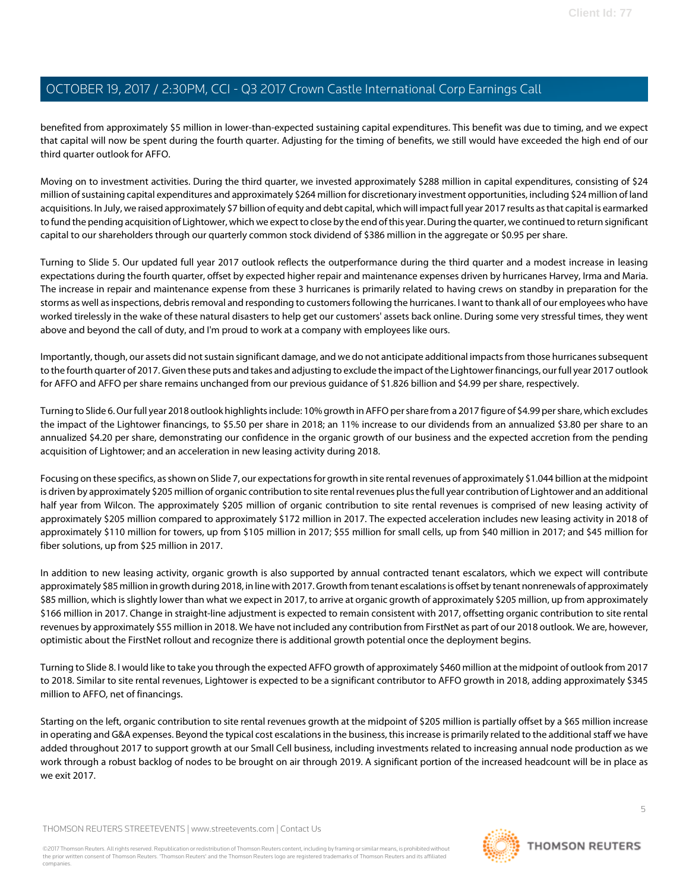benefited from approximately \$5 million in lower-than-expected sustaining capital expenditures. This benefit was due to timing, and we expect that capital will now be spent during the fourth quarter. Adjusting for the timing of benefits, we still would have exceeded the high end of our third quarter outlook for AFFO.

Moving on to investment activities. During the third quarter, we invested approximately \$288 million in capital expenditures, consisting of \$24 million of sustaining capital expenditures and approximately \$264 million for discretionary investment opportunities, including \$24 million of land acquisitions. In July, we raised approximately \$7 billion of equity and debt capital, which will impact full year 2017 results as that capital is earmarked to fund the pending acquisition of Lightower, which we expect to close by the end of this year. During the quarter, we continued to return significant capital to our shareholders through our quarterly common stock dividend of \$386 million in the aggregate or \$0.95 per share.

Turning to Slide 5. Our updated full year 2017 outlook reflects the outperformance during the third quarter and a modest increase in leasing expectations during the fourth quarter, offset by expected higher repair and maintenance expenses driven by hurricanes Harvey, Irma and Maria. The increase in repair and maintenance expense from these 3 hurricanes is primarily related to having crews on standby in preparation for the storms as well as inspections, debris removal and responding to customers following the hurricanes. I want to thank all of our employees who have worked tirelessly in the wake of these natural disasters to help get our customers' assets back online. During some very stressful times, they went above and beyond the call of duty, and I'm proud to work at a company with employees like ours.

Importantly, though, our assets did not sustain significant damage, and we do not anticipate additional impacts from those hurricanes subsequent to the fourth quarter of 2017. Given these puts and takes and adjusting to exclude the impact of the Lightower financings, our full year 2017 outlook for AFFO and AFFO per share remains unchanged from our previous guidance of \$1.826 billion and \$4.99 per share, respectively.

Turning to Slide 6. Our full year 2018 outlook highlights include: 10% growth in AFFO per share from a 2017 figure of \$4.99 per share, which excludes the impact of the Lightower financings, to \$5.50 per share in 2018; an 11% increase to our dividends from an annualized \$3.80 per share to an annualized \$4.20 per share, demonstrating our confidence in the organic growth of our business and the expected accretion from the pending acquisition of Lightower; and an acceleration in new leasing activity during 2018.

Focusing on these specifics, as shown on Slide 7, our expectations for growth in site rental revenues of approximately \$1.044 billion at the midpoint is driven by approximately \$205 million of organic contribution to site rental revenues plus the full year contribution of Lightower and an additional half year from Wilcon. The approximately \$205 million of organic contribution to site rental revenues is comprised of new leasing activity of approximately \$205 million compared to approximately \$172 million in 2017. The expected acceleration includes new leasing activity in 2018 of approximately \$110 million for towers, up from \$105 million in 2017; \$55 million for small cells, up from \$40 million in 2017; and \$45 million for fiber solutions, up from \$25 million in 2017.

In addition to new leasing activity, organic growth is also supported by annual contracted tenant escalators, which we expect will contribute approximately \$85 million in growth during 2018, in line with 2017. Growth from tenant escalations is offset by tenant nonrenewals of approximately \$85 million, which is slightly lower than what we expect in 2017, to arrive at organic growth of approximately \$205 million, up from approximately \$166 million in 2017. Change in straight-line adjustment is expected to remain consistent with 2017, offsetting organic contribution to site rental revenues by approximately \$55 million in 2018. We have not included any contribution from FirstNet as part of our 2018 outlook. We are, however, optimistic about the FirstNet rollout and recognize there is additional growth potential once the deployment begins.

Turning to Slide 8. I would like to take you through the expected AFFO growth of approximately \$460 million at the midpoint of outlook from 2017 to 2018. Similar to site rental revenues, Lightower is expected to be a significant contributor to AFFO growth in 2018, adding approximately \$345 million to AFFO, net of financings.

Starting on the left, organic contribution to site rental revenues growth at the midpoint of \$205 million is partially offset by a \$65 million increase in operating and G&A expenses. Beyond the typical cost escalations in the business, this increase is primarily related to the additional staff we have added throughout 2017 to support growth at our Small Cell business, including investments related to increasing annual node production as we work through a robust backlog of nodes to be brought on air through 2019. A significant portion of the increased headcount will be in place as we exit 2017.

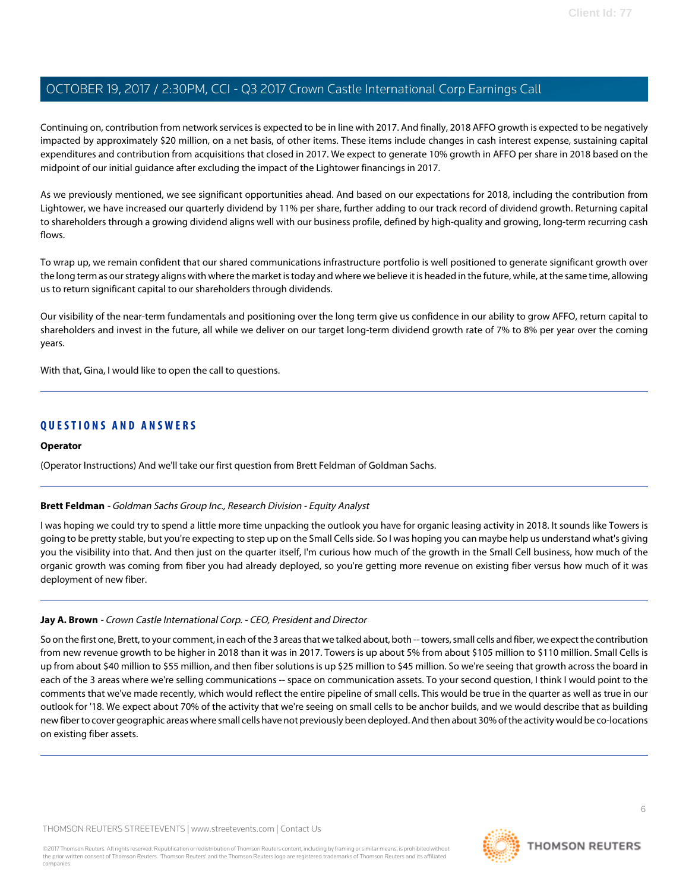Continuing on, contribution from network services is expected to be in line with 2017. And finally, 2018 AFFO growth is expected to be negatively impacted by approximately \$20 million, on a net basis, of other items. These items include changes in cash interest expense, sustaining capital expenditures and contribution from acquisitions that closed in 2017. We expect to generate 10% growth in AFFO per share in 2018 based on the midpoint of our initial guidance after excluding the impact of the Lightower financings in 2017.

As we previously mentioned, we see significant opportunities ahead. And based on our expectations for 2018, including the contribution from Lightower, we have increased our quarterly dividend by 11% per share, further adding to our track record of dividend growth. Returning capital to shareholders through a growing dividend aligns well with our business profile, defined by high-quality and growing, long-term recurring cash flows.

To wrap up, we remain confident that our shared communications infrastructure portfolio is well positioned to generate significant growth over the long term as our strategy aligns with where the market is today and where we believe it is headed in the future, while, at the same time, allowing us to return significant capital to our shareholders through dividends.

Our visibility of the near-term fundamentals and positioning over the long term give us confidence in our ability to grow AFFO, return capital to shareholders and invest in the future, all while we deliver on our target long-term dividend growth rate of 7% to 8% per year over the coming years.

With that, Gina, I would like to open the call to questions.

#### **QUESTIONS AND ANSWERS**

#### **Operator**

<span id="page-5-0"></span>(Operator Instructions) And we'll take our first question from Brett Feldman of Goldman Sachs.

#### **Brett Feldman** - Goldman Sachs Group Inc., Research Division - Equity Analyst

I was hoping we could try to spend a little more time unpacking the outlook you have for organic leasing activity in 2018. It sounds like Towers is going to be pretty stable, but you're expecting to step up on the Small Cells side. So I was hoping you can maybe help us understand what's giving you the visibility into that. And then just on the quarter itself, I'm curious how much of the growth in the Small Cell business, how much of the organic growth was coming from fiber you had already deployed, so you're getting more revenue on existing fiber versus how much of it was deployment of new fiber.

#### **Jay A. Brown** - Crown Castle International Corp. - CEO, President and Director

So on the first one, Brett, to your comment, in each of the 3 areas that we talked about, both -- towers, small cells and fiber, we expect the contribution from new revenue growth to be higher in 2018 than it was in 2017. Towers is up about 5% from about \$105 million to \$110 million. Small Cells is up from about \$40 million to \$55 million, and then fiber solutions is up \$25 million to \$45 million. So we're seeing that growth across the board in each of the 3 areas where we're selling communications -- space on communication assets. To your second question, I think I would point to the comments that we've made recently, which would reflect the entire pipeline of small cells. This would be true in the quarter as well as true in our outlook for '18. We expect about 70% of the activity that we're seeing on small cells to be anchor builds, and we would describe that as building new fiber to cover geographic areas where small cells have not previously been deployed. And then about 30% of the activity would be co-locations on existing fiber assets.

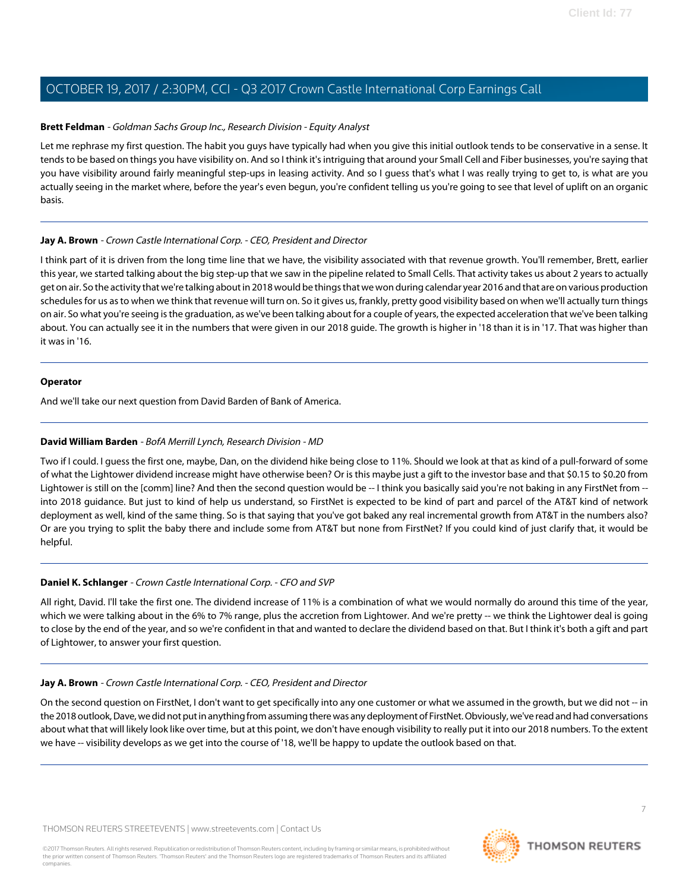#### **Brett Feldman** - Goldman Sachs Group Inc., Research Division - Equity Analyst

Let me rephrase my first question. The habit you guys have typically had when you give this initial outlook tends to be conservative in a sense. It tends to be based on things you have visibility on. And so I think it's intriguing that around your Small Cell and Fiber businesses, you're saying that you have visibility around fairly meaningful step-ups in leasing activity. And so I guess that's what I was really trying to get to, is what are you actually seeing in the market where, before the year's even begun, you're confident telling us you're going to see that level of uplift on an organic basis.

#### **Jay A. Brown** - Crown Castle International Corp. - CEO, President and Director

I think part of it is driven from the long time line that we have, the visibility associated with that revenue growth. You'll remember, Brett, earlier this year, we started talking about the big step-up that we saw in the pipeline related to Small Cells. That activity takes us about 2 years to actually get on air. So the activity that we're talking about in 2018 would be things that we won during calendar year 2016 and that are on various production schedules for us as to when we think that revenue will turn on. So it gives us, frankly, pretty good visibility based on when we'll actually turn things on air. So what you're seeing is the graduation, as we've been talking about for a couple of years, the expected acceleration that we've been talking about. You can actually see it in the numbers that were given in our 2018 guide. The growth is higher in '18 than it is in '17. That was higher than it was in '16.

#### **Operator**

<span id="page-6-0"></span>And we'll take our next question from David Barden of Bank of America.

#### **David William Barden** - BofA Merrill Lynch, Research Division - MD

Two if I could. I guess the first one, maybe, Dan, on the dividend hike being close to 11%. Should we look at that as kind of a pull-forward of some of what the Lightower dividend increase might have otherwise been? Or is this maybe just a gift to the investor base and that \$0.15 to \$0.20 from Lightower is still on the [comm] line? And then the second question would be -- I think you basically said you're not baking in any FirstNet from -into 2018 guidance. But just to kind of help us understand, so FirstNet is expected to be kind of part and parcel of the AT&T kind of network deployment as well, kind of the same thing. So is that saying that you've got baked any real incremental growth from AT&T in the numbers also? Or are you trying to split the baby there and include some from AT&T but none from FirstNet? If you could kind of just clarify that, it would be helpful.

#### **Daniel K. Schlanger** - Crown Castle International Corp. - CFO and SVP

All right, David. I'll take the first one. The dividend increase of 11% is a combination of what we would normally do around this time of the year, which we were talking about in the 6% to 7% range, plus the accretion from Lightower. And we're pretty -- we think the Lightower deal is going to close by the end of the year, and so we're confident in that and wanted to declare the dividend based on that. But I think it's both a gift and part of Lightower, to answer your first question.

#### **Jay A. Brown** - Crown Castle International Corp. - CEO, President and Director

On the second question on FirstNet, I don't want to get specifically into any one customer or what we assumed in the growth, but we did not -- in the 2018 outlook, Dave, we did not put in anything from assuming there was any deployment of FirstNet. Obviously, we've read and had conversations about what that will likely look like over time, but at this point, we don't have enough visibility to really put it into our 2018 numbers. To the extent we have -- visibility develops as we get into the course of '18, we'll be happy to update the outlook based on that.

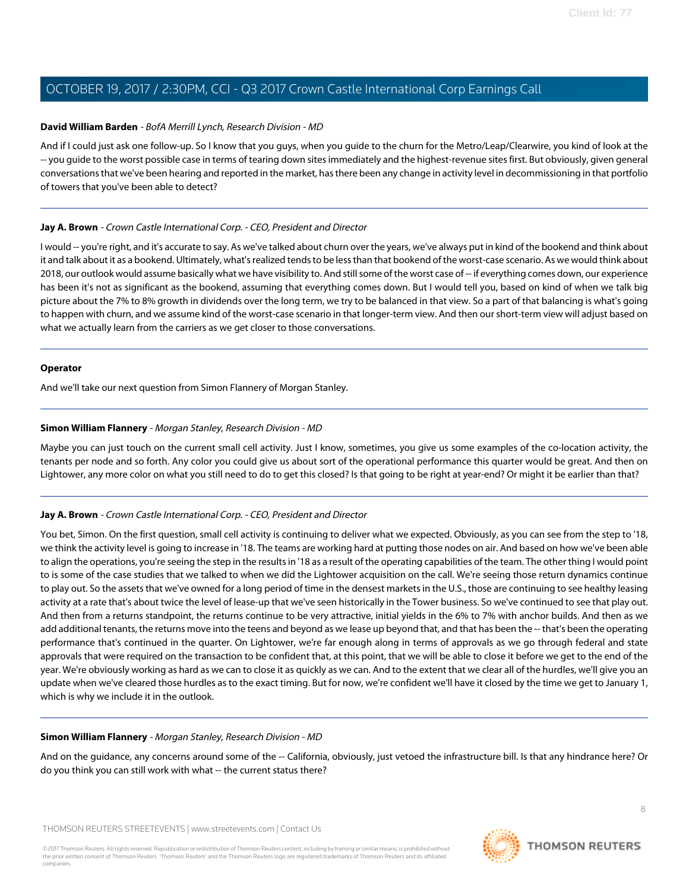#### **David William Barden** - BofA Merrill Lynch, Research Division - MD

And if I could just ask one follow-up. So I know that you guys, when you guide to the churn for the Metro/Leap/Clearwire, you kind of look at the -- you guide to the worst possible case in terms of tearing down sites immediately and the highest-revenue sites first. But obviously, given general conversations that we've been hearing and reported in the market, has there been any change in activity level in decommissioning in that portfolio of towers that you've been able to detect?

#### **Jay A. Brown** - Crown Castle International Corp. - CEO, President and Director

I would -- you're right, and it's accurate to say. As we've talked about churn over the years, we've always put in kind of the bookend and think about it and talk about it as a bookend. Ultimately, what's realized tends to be less than that bookend of the worst-case scenario. As we would think about 2018, our outlook would assume basically what we have visibility to. And still some of the worst case of -- if everything comes down, our experience has been it's not as significant as the bookend, assuming that everything comes down. But I would tell you, based on kind of when we talk big picture about the 7% to 8% growth in dividends over the long term, we try to be balanced in that view. So a part of that balancing is what's going to happen with churn, and we assume kind of the worst-case scenario in that longer-term view. And then our short-term view will adjust based on what we actually learn from the carriers as we get closer to those conversations.

#### **Operator**

<span id="page-7-0"></span>And we'll take our next question from Simon Flannery of Morgan Stanley.

#### **Simon William Flannery** - Morgan Stanley, Research Division - MD

Maybe you can just touch on the current small cell activity. Just I know, sometimes, you give us some examples of the co-location activity, the tenants per node and so forth. Any color you could give us about sort of the operational performance this quarter would be great. And then on Lightower, any more color on what you still need to do to get this closed? Is that going to be right at year-end? Or might it be earlier than that?

#### **Jay A. Brown** - Crown Castle International Corp. - CEO, President and Director

You bet, Simon. On the first question, small cell activity is continuing to deliver what we expected. Obviously, as you can see from the step to '18, we think the activity level is going to increase in '18. The teams are working hard at putting those nodes on air. And based on how we've been able to align the operations, you're seeing the step in the results in '18 as a result of the operating capabilities of the team. The other thing I would point to is some of the case studies that we talked to when we did the Lightower acquisition on the call. We're seeing those return dynamics continue to play out. So the assets that we've owned for a long period of time in the densest markets in the U.S., those are continuing to see healthy leasing activity at a rate that's about twice the level of lease-up that we've seen historically in the Tower business. So we've continued to see that play out. And then from a returns standpoint, the returns continue to be very attractive, initial yields in the 6% to 7% with anchor builds. And then as we add additional tenants, the returns move into the teens and beyond as we lease up beyond that, and that has been the -- that's been the operating performance that's continued in the quarter. On Lightower, we're far enough along in terms of approvals as we go through federal and state approvals that were required on the transaction to be confident that, at this point, that we will be able to close it before we get to the end of the year. We're obviously working as hard as we can to close it as quickly as we can. And to the extent that we clear all of the hurdles, we'll give you an update when we've cleared those hurdles as to the exact timing. But for now, we're confident we'll have it closed by the time we get to January 1, which is why we include it in the outlook.

#### **Simon William Flannery** - Morgan Stanley, Research Division - MD

And on the guidance, any concerns around some of the -- California, obviously, just vetoed the infrastructure bill. Is that any hindrance here? Or do you think you can still work with what -- the current status there?

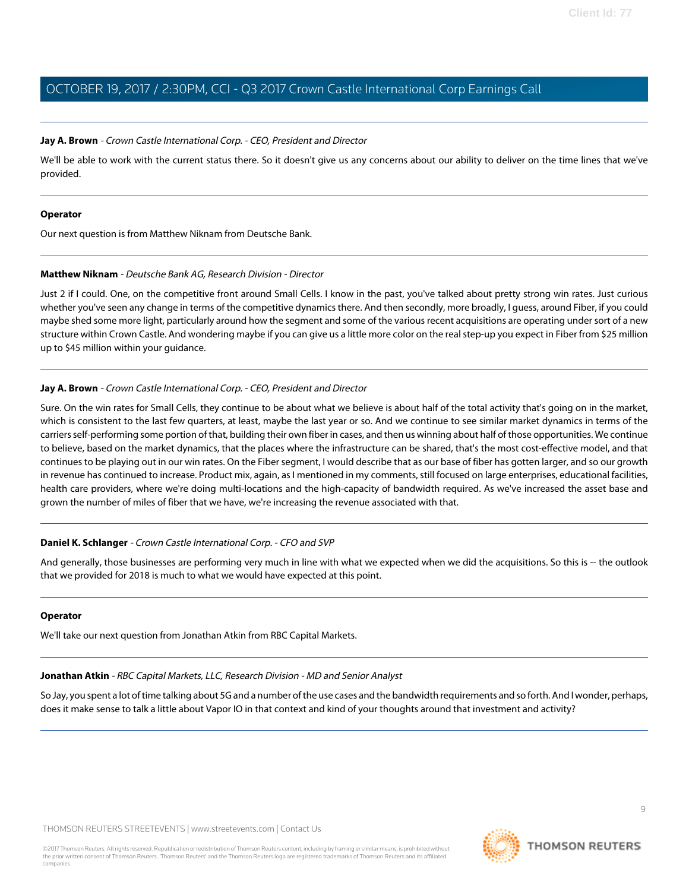#### **Jay A. Brown** - Crown Castle International Corp. - CEO, President and Director

We'll be able to work with the current status there. So it doesn't give us any concerns about our ability to deliver on the time lines that we've provided.

#### **Operator**

<span id="page-8-1"></span>Our next question is from Matthew Niknam from Deutsche Bank.

#### **Matthew Niknam** - Deutsche Bank AG, Research Division - Director

Just 2 if I could. One, on the competitive front around Small Cells. I know in the past, you've talked about pretty strong win rates. Just curious whether you've seen any change in terms of the competitive dynamics there. And then secondly, more broadly, I guess, around Fiber, if you could maybe shed some more light, particularly around how the segment and some of the various recent acquisitions are operating under sort of a new structure within Crown Castle. And wondering maybe if you can give us a little more color on the real step-up you expect in Fiber from \$25 million up to \$45 million within your guidance.

#### **Jay A. Brown** - Crown Castle International Corp. - CEO, President and Director

Sure. On the win rates for Small Cells, they continue to be about what we believe is about half of the total activity that's going on in the market, which is consistent to the last few quarters, at least, maybe the last year or so. And we continue to see similar market dynamics in terms of the carriers self-performing some portion of that, building their own fiber in cases, and then us winning about half of those opportunities. We continue to believe, based on the market dynamics, that the places where the infrastructure can be shared, that's the most cost-effective model, and that continues to be playing out in our win rates. On the Fiber segment, I would describe that as our base of fiber has gotten larger, and so our growth in revenue has continued to increase. Product mix, again, as I mentioned in my comments, still focused on large enterprises, educational facilities, health care providers, where we're doing multi-locations and the high-capacity of bandwidth required. As we've increased the asset base and grown the number of miles of fiber that we have, we're increasing the revenue associated with that.

#### **Daniel K. Schlanger** - Crown Castle International Corp. - CFO and SVP

And generally, those businesses are performing very much in line with what we expected when we did the acquisitions. So this is -- the outlook that we provided for 2018 is much to what we would have expected at this point.

#### <span id="page-8-0"></span>**Operator**

We'll take our next question from Jonathan Atkin from RBC Capital Markets.

#### **Jonathan Atkin** - RBC Capital Markets, LLC, Research Division - MD and Senior Analyst

So Jay, you spent a lot of time talking about 5G and a number of the use cases and the bandwidth requirements and so forth. And I wonder, perhaps, does it make sense to talk a little about Vapor IO in that context and kind of your thoughts around that investment and activity?

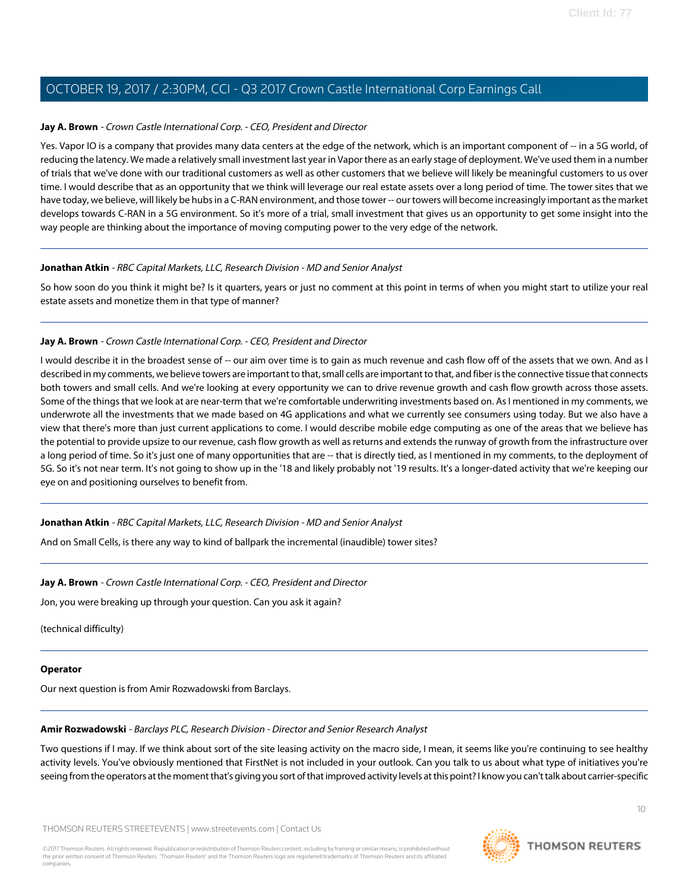#### **Jay A. Brown** - Crown Castle International Corp. - CEO, President and Director

Yes. Vapor IO is a company that provides many data centers at the edge of the network, which is an important component of -- in a 5G world, of reducing the latency. We made a relatively small investment last year in Vapor there as an early stage of deployment. We've used them in a number of trials that we've done with our traditional customers as well as other customers that we believe will likely be meaningful customers to us over time. I would describe that as an opportunity that we think will leverage our real estate assets over a long period of time. The tower sites that we have today, we believe, will likely be hubs in a C-RAN environment, and those tower -- our towers will become increasingly important as the market develops towards C-RAN in a 5G environment. So it's more of a trial, small investment that gives us an opportunity to get some insight into the way people are thinking about the importance of moving computing power to the very edge of the network.

#### **Jonathan Atkin** - RBC Capital Markets, LLC, Research Division - MD and Senior Analyst

So how soon do you think it might be? Is it quarters, years or just no comment at this point in terms of when you might start to utilize your real estate assets and monetize them in that type of manner?

#### **Jay A. Brown** - Crown Castle International Corp. - CEO, President and Director

I would describe it in the broadest sense of -- our aim over time is to gain as much revenue and cash flow off of the assets that we own. And as I described in my comments, we believe towers are important to that, small cells are important to that, and fiber is the connective tissue that connects both towers and small cells. And we're looking at every opportunity we can to drive revenue growth and cash flow growth across those assets. Some of the things that we look at are near-term that we're comfortable underwriting investments based on. As I mentioned in my comments, we underwrote all the investments that we made based on 4G applications and what we currently see consumers using today. But we also have a view that there's more than just current applications to come. I would describe mobile edge computing as one of the areas that we believe has the potential to provide upsize to our revenue, cash flow growth as well as returns and extends the runway of growth from the infrastructure over a long period of time. So it's just one of many opportunities that are -- that is directly tied, as I mentioned in my comments, to the deployment of 5G. So it's not near term. It's not going to show up in the '18 and likely probably not '19 results. It's a longer-dated activity that we're keeping our eye on and positioning ourselves to benefit from.

#### **Jonathan Atkin** - RBC Capital Markets, LLC, Research Division - MD and Senior Analyst

And on Small Cells, is there any way to kind of ballpark the incremental (inaudible) tower sites?

#### **Jay A. Brown** - Crown Castle International Corp. - CEO, President and Director

Jon, you were breaking up through your question. Can you ask it again?

(technical difficulty)

#### <span id="page-9-0"></span>**Operator**

Our next question is from Amir Rozwadowski from Barclays.

#### **Amir Rozwadowski** - Barclays PLC, Research Division - Director and Senior Research Analyst

Two questions if I may. If we think about sort of the site leasing activity on the macro side, I mean, it seems like you're continuing to see healthy activity levels. You've obviously mentioned that FirstNet is not included in your outlook. Can you talk to us about what type of initiatives you're seeing from the operators at the moment that's giving you sort of that improved activity levels at this point? I know you can't talk about carrier-specific



 $1<sup>0</sup>$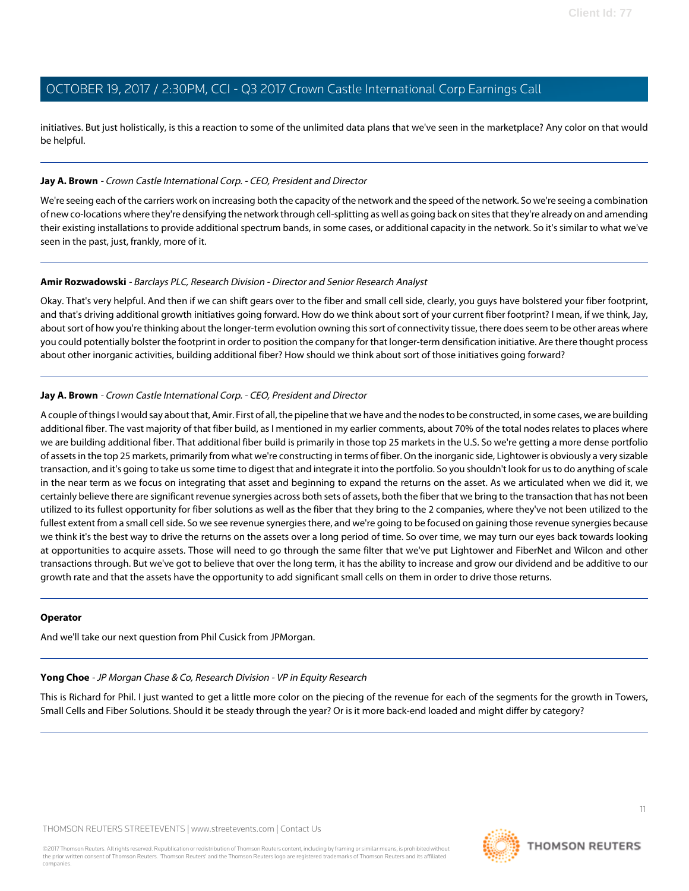initiatives. But just holistically, is this a reaction to some of the unlimited data plans that we've seen in the marketplace? Any color on that would be helpful.

#### **Jay A. Brown** - Crown Castle International Corp. - CEO, President and Director

We're seeing each of the carriers work on increasing both the capacity of the network and the speed of the network. So we're seeing a combination of new co-locations where they're densifying the network through cell-splitting as well as going back on sites that they're already on and amending their existing installations to provide additional spectrum bands, in some cases, or additional capacity in the network. So it's similar to what we've seen in the past, just, frankly, more of it.

#### **Amir Rozwadowski** - Barclays PLC, Research Division - Director and Senior Research Analyst

Okay. That's very helpful. And then if we can shift gears over to the fiber and small cell side, clearly, you guys have bolstered your fiber footprint, and that's driving additional growth initiatives going forward. How do we think about sort of your current fiber footprint? I mean, if we think, Jay, about sort of how you're thinking about the longer-term evolution owning this sort of connectivity tissue, there does seem to be other areas where you could potentially bolster the footprint in order to position the company for that longer-term densification initiative. Are there thought process about other inorganic activities, building additional fiber? How should we think about sort of those initiatives going forward?

#### **Jay A. Brown** - Crown Castle International Corp. - CEO, President and Director

A couple of things I would say about that, Amir. First of all, the pipeline that we have and the nodes to be constructed, in some cases, we are building additional fiber. The vast majority of that fiber build, as I mentioned in my earlier comments, about 70% of the total nodes relates to places where we are building additional fiber. That additional fiber build is primarily in those top 25 markets in the U.S. So we're getting a more dense portfolio of assets in the top 25 markets, primarily from what we're constructing in terms of fiber. On the inorganic side, Lightower is obviously a very sizable transaction, and it's going to take us some time to digest that and integrate it into the portfolio. So you shouldn't look for us to do anything of scale in the near term as we focus on integrating that asset and beginning to expand the returns on the asset. As we articulated when we did it, we certainly believe there are significant revenue synergies across both sets of assets, both the fiber that we bring to the transaction that has not been utilized to its fullest opportunity for fiber solutions as well as the fiber that they bring to the 2 companies, where they've not been utilized to the fullest extent from a small cell side. So we see revenue synergies there, and we're going to be focused on gaining those revenue synergies because we think it's the best way to drive the returns on the assets over a long period of time. So over time, we may turn our eyes back towards looking at opportunities to acquire assets. Those will need to go through the same filter that we've put Lightower and FiberNet and Wilcon and other transactions through. But we've got to believe that over the long term, it has the ability to increase and grow our dividend and be additive to our growth rate and that the assets have the opportunity to add significant small cells on them in order to drive those returns.

#### <span id="page-10-0"></span>**Operator**

And we'll take our next question from Phil Cusick from JPMorgan.

#### **Yong Choe** - JP Morgan Chase & Co, Research Division - VP in Equity Research

This is Richard for Phil. I just wanted to get a little more color on the piecing of the revenue for each of the segments for the growth in Towers, Small Cells and Fiber Solutions. Should it be steady through the year? Or is it more back-end loaded and might differ by category?

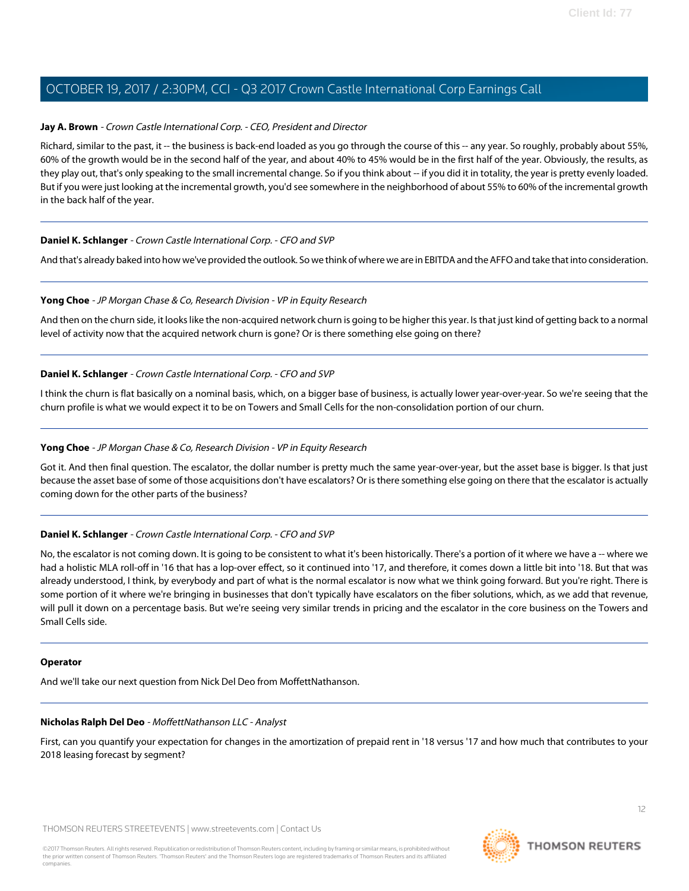#### **Jay A. Brown** - Crown Castle International Corp. - CEO, President and Director

Richard, similar to the past, it -- the business is back-end loaded as you go through the course of this -- any year. So roughly, probably about 55%, 60% of the growth would be in the second half of the year, and about 40% to 45% would be in the first half of the year. Obviously, the results, as they play out, that's only speaking to the small incremental change. So if you think about -- if you did it in totality, the year is pretty evenly loaded. But if you were just looking at the incremental growth, you'd see somewhere in the neighborhood of about 55% to 60% of the incremental growth in the back half of the year.

#### **Daniel K. Schlanger** - Crown Castle International Corp. - CFO and SVP

And that's already baked into how we've provided the outlook. So we think of where we are in EBITDA and the AFFO and take that into consideration.

#### **Yong Choe** - JP Morgan Chase & Co, Research Division - VP in Equity Research

And then on the churn side, it looks like the non-acquired network churn is going to be higher this year. Is that just kind of getting back to a normal level of activity now that the acquired network churn is gone? Or is there something else going on there?

#### **Daniel K. Schlanger** - Crown Castle International Corp. - CFO and SVP

I think the churn is flat basically on a nominal basis, which, on a bigger base of business, is actually lower year-over-year. So we're seeing that the churn profile is what we would expect it to be on Towers and Small Cells for the non-consolidation portion of our churn.

#### **Yong Choe** - JP Morgan Chase & Co, Research Division - VP in Equity Research

Got it. And then final question. The escalator, the dollar number is pretty much the same year-over-year, but the asset base is bigger. Is that just because the asset base of some of those acquisitions don't have escalators? Or is there something else going on there that the escalator is actually coming down for the other parts of the business?

#### **Daniel K. Schlanger** - Crown Castle International Corp. - CFO and SVP

No, the escalator is not coming down. It is going to be consistent to what it's been historically. There's a portion of it where we have a -- where we had a holistic MLA roll-off in '16 that has a lop-over effect, so it continued into '17, and therefore, it comes down a little bit into '18. But that was already understood, I think, by everybody and part of what is the normal escalator is now what we think going forward. But you're right. There is some portion of it where we're bringing in businesses that don't typically have escalators on the fiber solutions, which, as we add that revenue, will pull it down on a percentage basis. But we're seeing very similar trends in pricing and the escalator in the core business on the Towers and Small Cells side.

#### <span id="page-11-0"></span>**Operator**

And we'll take our next question from Nick Del Deo from MoffettNathanson.

#### **Nicholas Ralph Del Deo** - MoffettNathanson LLC - Analyst

First, can you quantify your expectation for changes in the amortization of prepaid rent in '18 versus '17 and how much that contributes to your 2018 leasing forecast by segment?

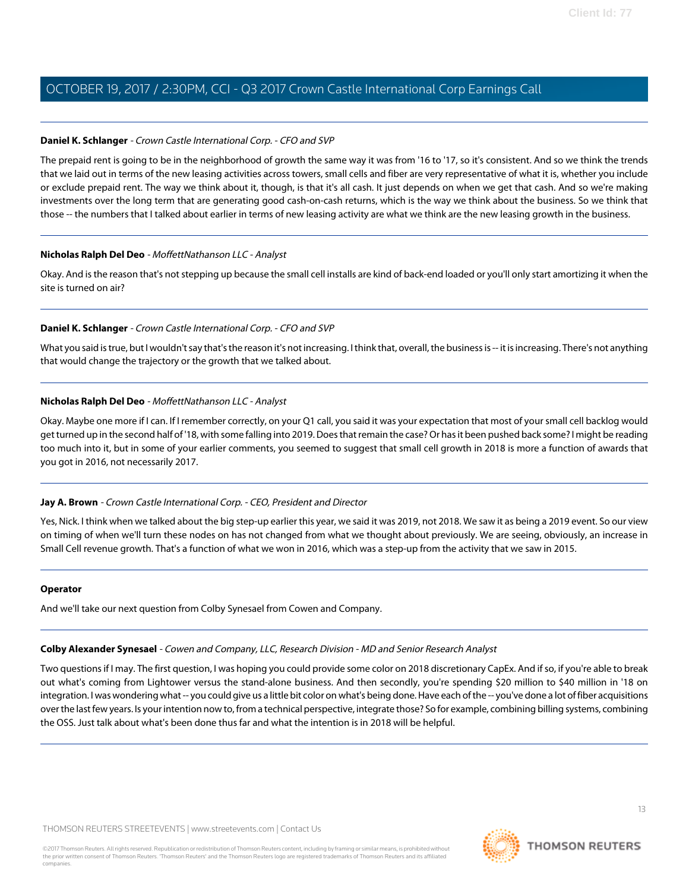#### **Daniel K. Schlanger** - Crown Castle International Corp. - CFO and SVP

The prepaid rent is going to be in the neighborhood of growth the same way it was from '16 to '17, so it's consistent. And so we think the trends that we laid out in terms of the new leasing activities across towers, small cells and fiber are very representative of what it is, whether you include or exclude prepaid rent. The way we think about it, though, is that it's all cash. It just depends on when we get that cash. And so we're making investments over the long term that are generating good cash-on-cash returns, which is the way we think about the business. So we think that those -- the numbers that I talked about earlier in terms of new leasing activity are what we think are the new leasing growth in the business.

#### **Nicholas Ralph Del Deo** - MoffettNathanson LLC - Analyst

Okay. And is the reason that's not stepping up because the small cell installs are kind of back-end loaded or you'll only start amortizing it when the site is turned on air?

#### **Daniel K. Schlanger** - Crown Castle International Corp. - CFO and SVP

What you said is true, but I wouldn't say that's the reason it's not increasing. I think that, overall, the business is -- it is increasing. There's not anything that would change the trajectory or the growth that we talked about.

#### **Nicholas Ralph Del Deo** - MoffettNathanson LLC - Analyst

Okay. Maybe one more if I can. If I remember correctly, on your Q1 call, you said it was your expectation that most of your small cell backlog would get turned up in the second half of '18, with some falling into 2019. Does that remain the case? Or has it been pushed back some? I might be reading too much into it, but in some of your earlier comments, you seemed to suggest that small cell growth in 2018 is more a function of awards that you got in 2016, not necessarily 2017.

#### **Jay A. Brown** - Crown Castle International Corp. - CEO, President and Director

Yes, Nick. I think when we talked about the big step-up earlier this year, we said it was 2019, not 2018. We saw it as being a 2019 event. So our view on timing of when we'll turn these nodes on has not changed from what we thought about previously. We are seeing, obviously, an increase in Small Cell revenue growth. That's a function of what we won in 2016, which was a step-up from the activity that we saw in 2015.

#### <span id="page-12-0"></span>**Operator**

And we'll take our next question from Colby Synesael from Cowen and Company.

#### **Colby Alexander Synesael** - Cowen and Company, LLC, Research Division - MD and Senior Research Analyst

Two questions if I may. The first question, I was hoping you could provide some color on 2018 discretionary CapEx. And if so, if you're able to break out what's coming from Lightower versus the stand-alone business. And then secondly, you're spending \$20 million to \$40 million in '18 on integration. I was wondering what -- you could give us a little bit color on what's being done. Have each of the -- you've done a lot of fiber acquisitions over the last few years. Is your intention now to, from a technical perspective, integrate those? So for example, combining billing systems, combining the OSS. Just talk about what's been done thus far and what the intention is in 2018 will be helpful.

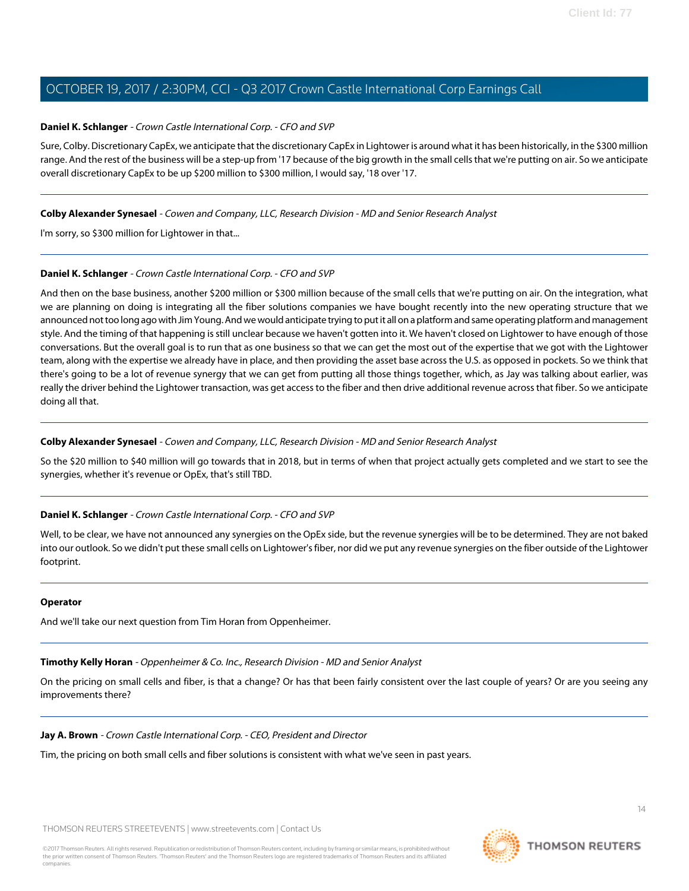#### **Daniel K. Schlanger** - Crown Castle International Corp. - CFO and SVP

Sure, Colby. Discretionary CapEx, we anticipate that the discretionary CapEx in Lightower is around what it has been historically, in the \$300 million range. And the rest of the business will be a step-up from '17 because of the big growth in the small cells that we're putting on air. So we anticipate overall discretionary CapEx to be up \$200 million to \$300 million, I would say, '18 over '17.

#### **Colby Alexander Synesael** - Cowen and Company, LLC, Research Division - MD and Senior Research Analyst

I'm sorry, so \$300 million for Lightower in that...

#### **Daniel K. Schlanger** - Crown Castle International Corp. - CFO and SVP

And then on the base business, another \$200 million or \$300 million because of the small cells that we're putting on air. On the integration, what we are planning on doing is integrating all the fiber solutions companies we have bought recently into the new operating structure that we announced not too long ago with Jim Young. And we would anticipate trying to put it all on a platform and same operating platform and management style. And the timing of that happening is still unclear because we haven't gotten into it. We haven't closed on Lightower to have enough of those conversations. But the overall goal is to run that as one business so that we can get the most out of the expertise that we got with the Lightower team, along with the expertise we already have in place, and then providing the asset base across the U.S. as opposed in pockets. So we think that there's going to be a lot of revenue synergy that we can get from putting all those things together, which, as Jay was talking about earlier, was really the driver behind the Lightower transaction, was get access to the fiber and then drive additional revenue across that fiber. So we anticipate doing all that.

#### **Colby Alexander Synesael** - Cowen and Company, LLC, Research Division - MD and Senior Research Analyst

So the \$20 million to \$40 million will go towards that in 2018, but in terms of when that project actually gets completed and we start to see the synergies, whether it's revenue or OpEx, that's still TBD.

#### **Daniel K. Schlanger** - Crown Castle International Corp. - CFO and SVP

Well, to be clear, we have not announced any synergies on the OpEx side, but the revenue synergies will be to be determined. They are not baked into our outlook. So we didn't put these small cells on Lightower's fiber, nor did we put any revenue synergies on the fiber outside of the Lightower footprint.

#### <span id="page-13-0"></span>**Operator**

And we'll take our next question from Tim Horan from Oppenheimer.

### **Timothy Kelly Horan** - Oppenheimer & Co. Inc., Research Division - MD and Senior Analyst

On the pricing on small cells and fiber, is that a change? Or has that been fairly consistent over the last couple of years? Or are you seeing any improvements there?

### **Jay A. Brown** - Crown Castle International Corp. - CEO, President and Director

Tim, the pricing on both small cells and fiber solutions is consistent with what we've seen in past years.

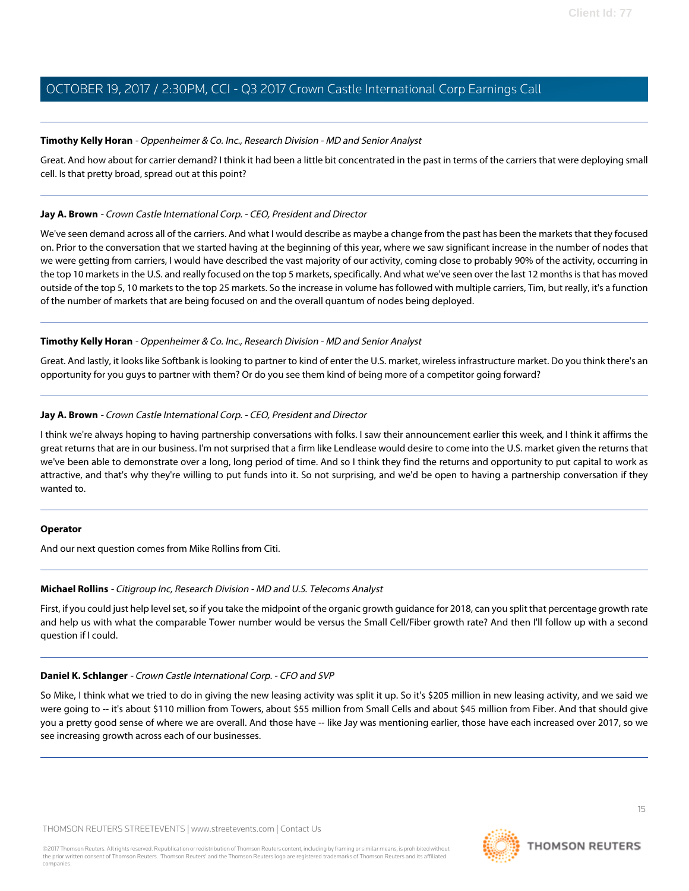#### **Timothy Kelly Horan** - Oppenheimer & Co. Inc., Research Division - MD and Senior Analyst

Great. And how about for carrier demand? I think it had been a little bit concentrated in the past in terms of the carriers that were deploying small cell. Is that pretty broad, spread out at this point?

#### **Jay A. Brown** - Crown Castle International Corp. - CEO, President and Director

We've seen demand across all of the carriers. And what I would describe as maybe a change from the past has been the markets that they focused on. Prior to the conversation that we started having at the beginning of this year, where we saw significant increase in the number of nodes that we were getting from carriers, I would have described the vast majority of our activity, coming close to probably 90% of the activity, occurring in the top 10 markets in the U.S. and really focused on the top 5 markets, specifically. And what we've seen over the last 12 months is that has moved outside of the top 5, 10 markets to the top 25 markets. So the increase in volume has followed with multiple carriers, Tim, but really, it's a function of the number of markets that are being focused on and the overall quantum of nodes being deployed.

#### **Timothy Kelly Horan** - Oppenheimer & Co. Inc., Research Division - MD and Senior Analyst

Great. And lastly, it looks like Softbank is looking to partner to kind of enter the U.S. market, wireless infrastructure market. Do you think there's an opportunity for you guys to partner with them? Or do you see them kind of being more of a competitor going forward?

#### **Jay A. Brown** - Crown Castle International Corp. - CEO, President and Director

I think we're always hoping to having partnership conversations with folks. I saw their announcement earlier this week, and I think it affirms the great returns that are in our business. I'm not surprised that a firm like Lendlease would desire to come into the U.S. market given the returns that we've been able to demonstrate over a long, long period of time. And so I think they find the returns and opportunity to put capital to work as attractive, and that's why they're willing to put funds into it. So not surprising, and we'd be open to having a partnership conversation if they wanted to.

#### <span id="page-14-0"></span>**Operator**

And our next question comes from Mike Rollins from Citi.

## **Michael Rollins** - Citigroup Inc, Research Division - MD and U.S. Telecoms Analyst

First, if you could just help level set, so if you take the midpoint of the organic growth guidance for 2018, can you split that percentage growth rate and help us with what the comparable Tower number would be versus the Small Cell/Fiber growth rate? And then I'll follow up with a second question if I could.

## **Daniel K. Schlanger** - Crown Castle International Corp. - CFO and SVP

So Mike, I think what we tried to do in giving the new leasing activity was split it up. So it's \$205 million in new leasing activity, and we said we were going to -- it's about \$110 million from Towers, about \$55 million from Small Cells and about \$45 million from Fiber. And that should give you a pretty good sense of where we are overall. And those have -- like Jay was mentioning earlier, those have each increased over 2017, so we see increasing growth across each of our businesses.

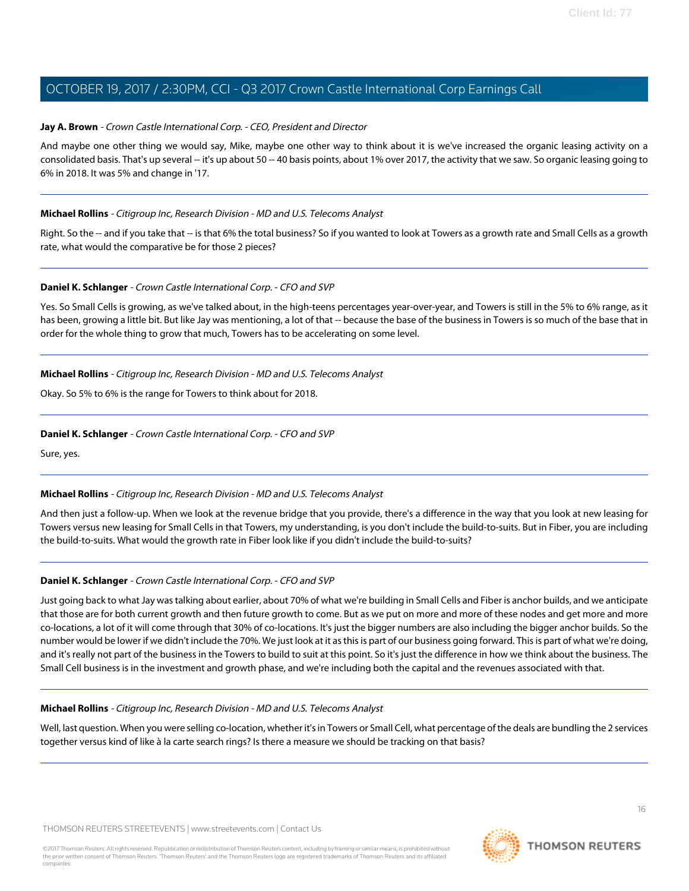#### **Jay A. Brown** - Crown Castle International Corp. - CEO, President and Director

And maybe one other thing we would say, Mike, maybe one other way to think about it is we've increased the organic leasing activity on a consolidated basis. That's up several -- it's up about 50 -- 40 basis points, about 1% over 2017, the activity that we saw. So organic leasing going to 6% in 2018. It was 5% and change in '17.

#### **Michael Rollins** - Citigroup Inc, Research Division - MD and U.S. Telecoms Analyst

Right. So the -- and if you take that -- is that 6% the total business? So if you wanted to look at Towers as a growth rate and Small Cells as a growth rate, what would the comparative be for those 2 pieces?

#### **Daniel K. Schlanger** - Crown Castle International Corp. - CFO and SVP

Yes. So Small Cells is growing, as we've talked about, in the high-teens percentages year-over-year, and Towers is still in the 5% to 6% range, as it has been, growing a little bit. But like Jay was mentioning, a lot of that -- because the base of the business in Towers is so much of the base that in order for the whole thing to grow that much, Towers has to be accelerating on some level.

#### **Michael Rollins** - Citigroup Inc, Research Division - MD and U.S. Telecoms Analyst

Okay. So 5% to 6% is the range for Towers to think about for 2018.

#### **Daniel K. Schlanger** - Crown Castle International Corp. - CFO and SVP

Sure, yes.

#### **Michael Rollins** - Citigroup Inc, Research Division - MD and U.S. Telecoms Analyst

And then just a follow-up. When we look at the revenue bridge that you provide, there's a difference in the way that you look at new leasing for Towers versus new leasing for Small Cells in that Towers, my understanding, is you don't include the build-to-suits. But in Fiber, you are including the build-to-suits. What would the growth rate in Fiber look like if you didn't include the build-to-suits?

#### **Daniel K. Schlanger** - Crown Castle International Corp. - CFO and SVP

Just going back to what Jay was talking about earlier, about 70% of what we're building in Small Cells and Fiber is anchor builds, and we anticipate that those are for both current growth and then future growth to come. But as we put on more and more of these nodes and get more and more co-locations, a lot of it will come through that 30% of co-locations. It's just the bigger numbers are also including the bigger anchor builds. So the number would be lower if we didn't include the 70%. We just look at it as this is part of our business going forward. This is part of what we're doing, and it's really not part of the business in the Towers to build to suit at this point. So it's just the difference in how we think about the business. The Small Cell business is in the investment and growth phase, and we're including both the capital and the revenues associated with that.

#### **Michael Rollins** - Citigroup Inc, Research Division - MD and U.S. Telecoms Analyst

Well, last question. When you were selling co-location, whether it's in Towers or Small Cell, what percentage of the deals are bundling the 2 services together versus kind of like à la carte search rings? Is there a measure we should be tracking on that basis?

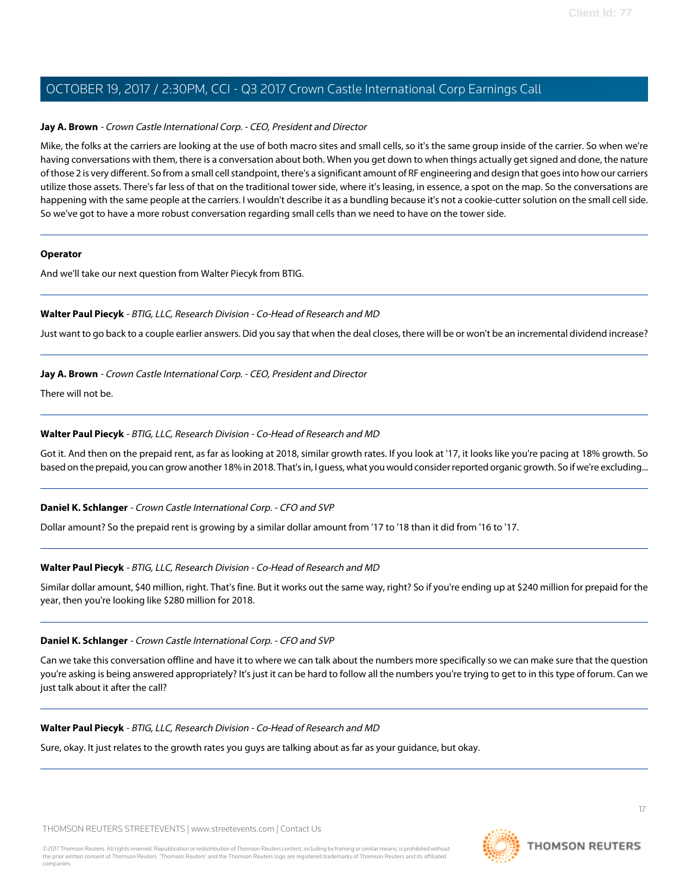#### **Jay A. Brown** - Crown Castle International Corp. - CEO, President and Director

Mike, the folks at the carriers are looking at the use of both macro sites and small cells, so it's the same group inside of the carrier. So when we're having conversations with them, there is a conversation about both. When you get down to when things actually get signed and done, the nature of those 2 is very different. So from a small cell standpoint, there's a significant amount of RF engineering and design that goes into how our carriers utilize those assets. There's far less of that on the traditional tower side, where it's leasing, in essence, a spot on the map. So the conversations are happening with the same people at the carriers. I wouldn't describe it as a bundling because it's not a cookie-cutter solution on the small cell side. So we've got to have a more robust conversation regarding small cells than we need to have on the tower side.

#### **Operator**

<span id="page-16-0"></span>And we'll take our next question from Walter Piecyk from BTIG.

#### **Walter Paul Piecyk** - BTIG, LLC, Research Division - Co-Head of Research and MD

Just want to go back to a couple earlier answers. Did you say that when the deal closes, there will be or won't be an incremental dividend increase?

#### **Jay A. Brown** - Crown Castle International Corp. - CEO, President and Director

There will not be.

#### **Walter Paul Piecyk** - BTIG, LLC, Research Division - Co-Head of Research and MD

Got it. And then on the prepaid rent, as far as looking at 2018, similar growth rates. If you look at '17, it looks like you're pacing at 18% growth. So based on the prepaid, you can grow another 18% in 2018. That's in, I guess, what you would consider reported organic growth. So if we're excluding...

#### **Daniel K. Schlanger** - Crown Castle International Corp. - CFO and SVP

Dollar amount? So the prepaid rent is growing by a similar dollar amount from '17 to '18 than it did from '16 to '17.

#### **Walter Paul Piecyk** - BTIG, LLC, Research Division - Co-Head of Research and MD

Similar dollar amount, \$40 million, right. That's fine. But it works out the same way, right? So if you're ending up at \$240 million for prepaid for the year, then you're looking like \$280 million for 2018.

#### **Daniel K. Schlanger** - Crown Castle International Corp. - CFO and SVP

Can we take this conversation offline and have it to where we can talk about the numbers more specifically so we can make sure that the question you're asking is being answered appropriately? It's just it can be hard to follow all the numbers you're trying to get to in this type of forum. Can we just talk about it after the call?

#### **Walter Paul Piecyk** - BTIG, LLC, Research Division - Co-Head of Research and MD

Sure, okay. It just relates to the growth rates you guys are talking about as far as your guidance, but okay.

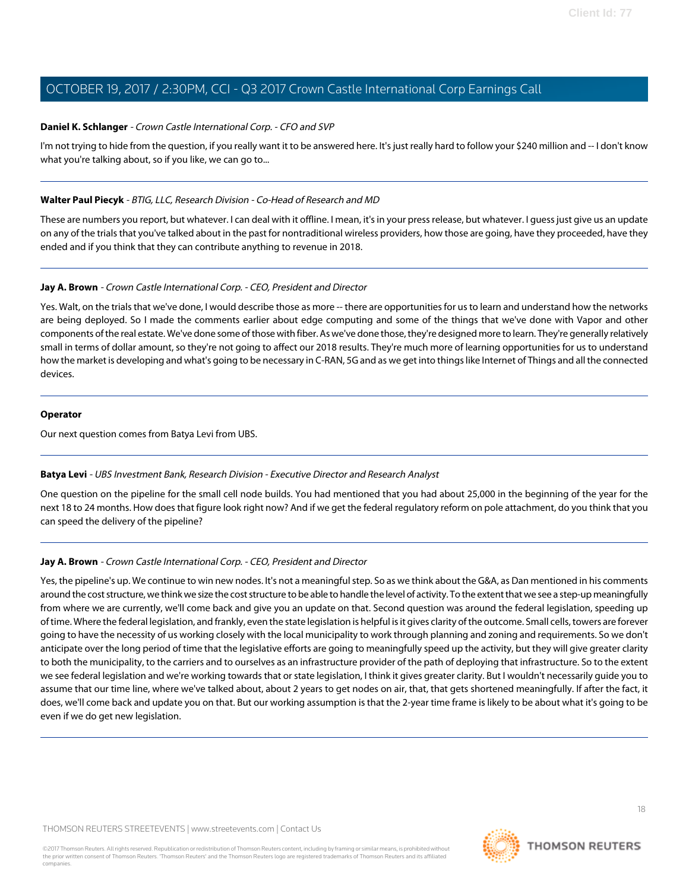#### **Daniel K. Schlanger** - Crown Castle International Corp. - CFO and SVP

I'm not trying to hide from the question, if you really want it to be answered here. It's just really hard to follow your \$240 million and -- I don't know what you're talking about, so if you like, we can go to...

#### **Walter Paul Piecyk** - BTIG, LLC, Research Division - Co-Head of Research and MD

These are numbers you report, but whatever. I can deal with it offline. I mean, it's in your press release, but whatever. I guess just give us an update on any of the trials that you've talked about in the past for nontraditional wireless providers, how those are going, have they proceeded, have they ended and if you think that they can contribute anything to revenue in 2018.

#### **Jay A. Brown** - Crown Castle International Corp. - CEO, President and Director

Yes. Walt, on the trials that we've done, I would describe those as more -- there are opportunities for us to learn and understand how the networks are being deployed. So I made the comments earlier about edge computing and some of the things that we've done with Vapor and other components of the real estate. We've done some of those with fiber. As we've done those, they're designed more to learn. They're generally relatively small in terms of dollar amount, so they're not going to affect our 2018 results. They're much more of learning opportunities for us to understand how the market is developing and what's going to be necessary in C-RAN, 5G and as we get into things like Internet of Things and all the connected devices.

#### **Operator**

<span id="page-17-0"></span>Our next question comes from Batya Levi from UBS.

#### **Batya Levi** - UBS Investment Bank, Research Division - Executive Director and Research Analyst

One question on the pipeline for the small cell node builds. You had mentioned that you had about 25,000 in the beginning of the year for the next 18 to 24 months. How does that figure look right now? And if we get the federal regulatory reform on pole attachment, do you think that you can speed the delivery of the pipeline?

#### **Jay A. Brown** - Crown Castle International Corp. - CEO, President and Director

Yes, the pipeline's up. We continue to win new nodes. It's not a meaningful step. So as we think about the G&A, as Dan mentioned in his comments around the cost structure, we think we size the cost structure to be able to handle the level of activity. To the extent that we see a step-up meaningfully from where we are currently, we'll come back and give you an update on that. Second question was around the federal legislation, speeding up of time. Where the federal legislation, and frankly, even the state legislation is helpful is it gives clarity of the outcome. Small cells, towers are forever going to have the necessity of us working closely with the local municipality to work through planning and zoning and requirements. So we don't anticipate over the long period of time that the legislative efforts are going to meaningfully speed up the activity, but they will give greater clarity to both the municipality, to the carriers and to ourselves as an infrastructure provider of the path of deploying that infrastructure. So to the extent we see federal legislation and we're working towards that or state legislation, I think it gives greater clarity. But I wouldn't necessarily guide you to assume that our time line, where we've talked about, about 2 years to get nodes on air, that, that gets shortened meaningfully. If after the fact, it does, we'll come back and update you on that. But our working assumption is that the 2-year time frame is likely to be about what it's going to be even if we do get new legislation.

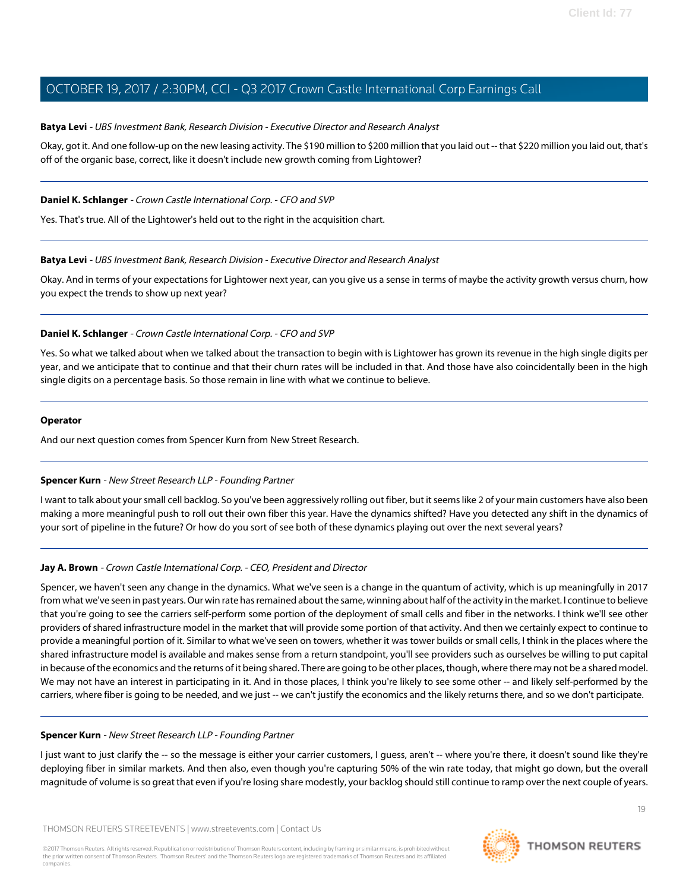#### **Batya Levi** - UBS Investment Bank, Research Division - Executive Director and Research Analyst

Okay, got it. And one follow-up on the new leasing activity. The \$190 million to \$200 million that you laid out -- that \$220 million you laid out, that's off of the organic base, correct, like it doesn't include new growth coming from Lightower?

#### **Daniel K. Schlanger** - Crown Castle International Corp. - CFO and SVP

Yes. That's true. All of the Lightower's held out to the right in the acquisition chart.

#### **Batya Levi** - UBS Investment Bank, Research Division - Executive Director and Research Analyst

Okay. And in terms of your expectations for Lightower next year, can you give us a sense in terms of maybe the activity growth versus churn, how you expect the trends to show up next year?

#### **Daniel K. Schlanger** - Crown Castle International Corp. - CFO and SVP

Yes. So what we talked about when we talked about the transaction to begin with is Lightower has grown its revenue in the high single digits per year, and we anticipate that to continue and that their churn rates will be included in that. And those have also coincidentally been in the high single digits on a percentage basis. So those remain in line with what we continue to believe.

#### **Operator**

<span id="page-18-0"></span>And our next question comes from Spencer Kurn from New Street Research.

#### **Spencer Kurn** - New Street Research LLP - Founding Partner

I want to talk about your small cell backlog. So you've been aggressively rolling out fiber, but it seems like 2 of your main customers have also been making a more meaningful push to roll out their own fiber this year. Have the dynamics shifted? Have you detected any shift in the dynamics of your sort of pipeline in the future? Or how do you sort of see both of these dynamics playing out over the next several years?

#### **Jay A. Brown** - Crown Castle International Corp. - CEO, President and Director

Spencer, we haven't seen any change in the dynamics. What we've seen is a change in the quantum of activity, which is up meaningfully in 2017 from what we've seen in past years. Our win rate has remained about the same, winning about half of the activity in the market. I continue to believe that you're going to see the carriers self-perform some portion of the deployment of small cells and fiber in the networks. I think we'll see other providers of shared infrastructure model in the market that will provide some portion of that activity. And then we certainly expect to continue to provide a meaningful portion of it. Similar to what we've seen on towers, whether it was tower builds or small cells, I think in the places where the shared infrastructure model is available and makes sense from a return standpoint, you'll see providers such as ourselves be willing to put capital in because of the economics and the returns of it being shared. There are going to be other places, though, where there may not be a shared model. We may not have an interest in participating in it. And in those places, I think you're likely to see some other -- and likely self-performed by the carriers, where fiber is going to be needed, and we just -- we can't justify the economics and the likely returns there, and so we don't participate.

#### **Spencer Kurn** - New Street Research LLP - Founding Partner

I just want to just clarify the -- so the message is either your carrier customers, I guess, aren't -- where you're there, it doesn't sound like they're deploying fiber in similar markets. And then also, even though you're capturing 50% of the win rate today, that might go down, but the overall magnitude of volume is so great that even if you're losing share modestly, your backlog should still continue to ramp over the next couple of years.

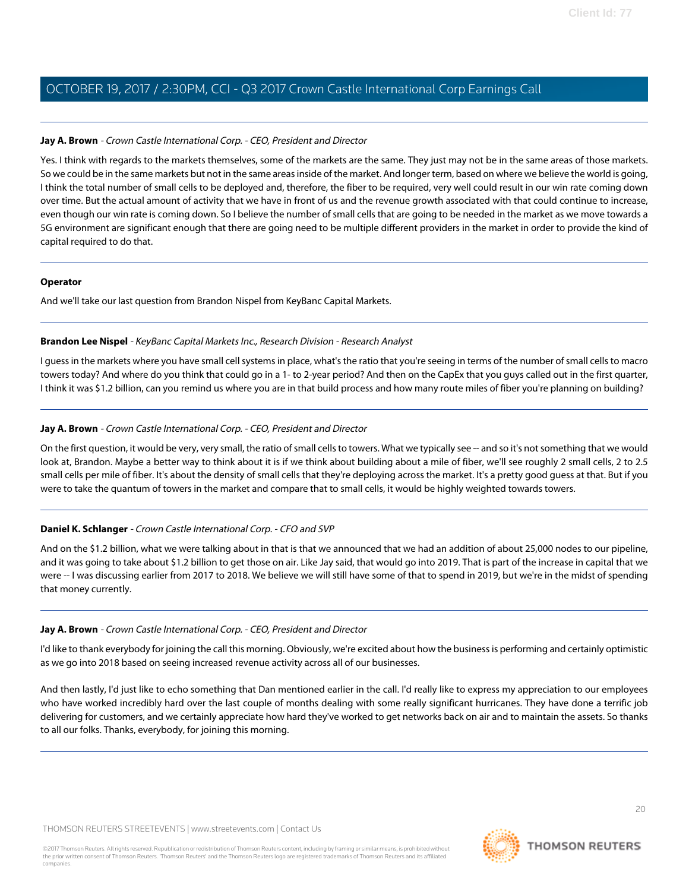#### **Jay A. Brown** - Crown Castle International Corp. - CEO, President and Director

Yes. I think with regards to the markets themselves, some of the markets are the same. They just may not be in the same areas of those markets. So we could be in the same markets but not in the same areas inside of the market. And longer term, based on where we believe the world is going, I think the total number of small cells to be deployed and, therefore, the fiber to be required, very well could result in our win rate coming down over time. But the actual amount of activity that we have in front of us and the revenue growth associated with that could continue to increase, even though our win rate is coming down. So I believe the number of small cells that are going to be needed in the market as we move towards a 5G environment are significant enough that there are going need to be multiple different providers in the market in order to provide the kind of capital required to do that.

#### **Operator**

<span id="page-19-0"></span>And we'll take our last question from Brandon Nispel from KeyBanc Capital Markets.

#### **Brandon Lee Nispel** - KeyBanc Capital Markets Inc., Research Division - Research Analyst

I guess in the markets where you have small cell systems in place, what's the ratio that you're seeing in terms of the number of small cells to macro towers today? And where do you think that could go in a 1- to 2-year period? And then on the CapEx that you guys called out in the first quarter, I think it was \$1.2 billion, can you remind us where you are in that build process and how many route miles of fiber you're planning on building?

#### **Jay A. Brown** - Crown Castle International Corp. - CEO, President and Director

On the first question, it would be very, very small, the ratio of small cells to towers. What we typically see -- and so it's not something that we would look at, Brandon. Maybe a better way to think about it is if we think about building about a mile of fiber, we'll see roughly 2 small cells, 2 to 2.5 small cells per mile of fiber. It's about the density of small cells that they're deploying across the market. It's a pretty good guess at that. But if you were to take the quantum of towers in the market and compare that to small cells, it would be highly weighted towards towers.

#### **Daniel K. Schlanger** - Crown Castle International Corp. - CFO and SVP

And on the \$1.2 billion, what we were talking about in that is that we announced that we had an addition of about 25,000 nodes to our pipeline, and it was going to take about \$1.2 billion to get those on air. Like Jay said, that would go into 2019. That is part of the increase in capital that we were -- I was discussing earlier from 2017 to 2018. We believe we will still have some of that to spend in 2019, but we're in the midst of spending that money currently.

#### **Jay A. Brown** - Crown Castle International Corp. - CEO, President and Director

I'd like to thank everybody for joining the call this morning. Obviously, we're excited about how the business is performing and certainly optimistic as we go into 2018 based on seeing increased revenue activity across all of our businesses.

And then lastly, I'd just like to echo something that Dan mentioned earlier in the call. I'd really like to express my appreciation to our employees who have worked incredibly hard over the last couple of months dealing with some really significant hurricanes. They have done a terrific job delivering for customers, and we certainly appreciate how hard they've worked to get networks back on air and to maintain the assets. So thanks to all our folks. Thanks, everybody, for joining this morning.